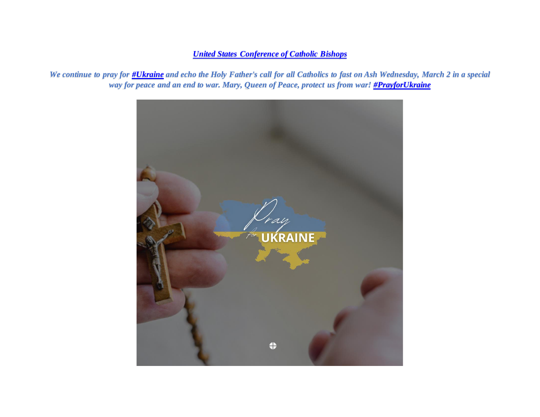## *[United States Conference of Catholic Bishops](https://www.facebook.com/usccb/?__cft__%5b0%5d=AZWNY8y-iWY-3WrQzV2km9xkGOGCSEwr7q7tjaBpHZ0Y5xTRurckAyqRVtfmhS89fvftljc6Rfv7y9b5nKiy7sfQTwVqm_zB7tkCRMAgaxVbyiwT7siYW6rMoLQZYZjCqe9poWAnMm7oK0DM-uD5lpvAeYk8dCggYrWdZ0yxnXzIQX2At-oL_OYhb_W8R08PIpLCOT7xyz5mVSnn3GNGwwdMk_X3bebhURncWQgPugNgCw&__tn__=-UC%2CP-y-R)*

*We continue to pray for [#Ukraine](https://www.facebook.com/hashtag/ukraine?__eep__=6&__cft__%5b0%5d=AZWNY8y-iWY-3WrQzV2km9xkGOGCSEwr7q7tjaBpHZ0Y5xTRurckAyqRVtfmhS89fvftljc6Rfv7y9b5nKiy7sfQTwVqm_zB7tkCRMAgaxVbyiwT7siYW6rMoLQZYZjCqe9poWAnMm7oK0DM-uD5lpvAeYk8dCggYrWdZ0yxnXzIQX2At-oL_OYhb_W8R08PIpLCOT7xyz5mVSnn3GNGwwdMk_X3bebhURncWQgPugNgCw&__tn__=*NK-y-R) and echo the Holy Father's call for all Catholics to fast on Ash Wednesday, March 2 in a special way for peace and an end to war. Mary, Queen of Peace, protect us from war! [#PrayforUkraine](https://www.facebook.com/hashtag/prayforukraine?__eep__=6&__cft__%5b0%5d=AZWNY8y-iWY-3WrQzV2km9xkGOGCSEwr7q7tjaBpHZ0Y5xTRurckAyqRVtfmhS89fvftljc6Rfv7y9b5nKiy7sfQTwVqm_zB7tkCRMAgaxVbyiwT7siYW6rMoLQZYZjCqe9poWAnMm7oK0DM-uD5lpvAeYk8dCggYrWdZ0yxnXzIQX2At-oL_OYhb_W8R08PIpLCOT7xyz5mVSnn3GNGwwdMk_X3bebhURncWQgPugNgCw&__tn__=*NK-y-R)*

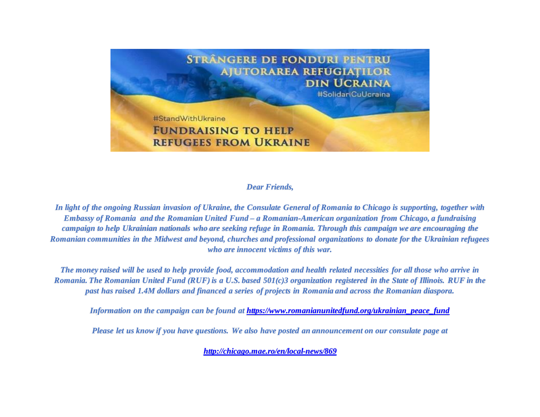

## *Dear Friends,*

*In light of the ongoing Russian invasion of Ukraine, the Consulate General of Romania to Chicago is supporting, together with Embassy of Romania and the Romanian United Fund – a Romanian-American organization from Chicago, a fundraising campaign to help Ukrainian nationals who are seeking refuge in Romania. Through this campaign we are encouraging the Romanian communities in the Midwest and beyond, churches and professional organizations to donate for the Ukrainian refugees who are innocent victims of this war.*

*The money raised will be used to help provide food, accommodation and health related necessities for all those who arrive in Romania. The Romanian United Fund (RUF) is a U.S. based 501(c)3 organization registered in the State of Illinois. RUF in the past has raised 1.4M dollars and financed a series of projects in Romania and across the Romanian diaspora.*

*Information on the campaign can be found a[t https://www.romanianunitedfund.org/ukrainian\\_peace\\_fund](https://urldefense.proofpoint.com/v2/url?u=https-3A__www.romanianunitedfund.org_ukrainian-5Fpeace-5Ffund&d=DwMGaQ&c=gRgGjJ3BkIsb5y6s49QqsA&r=R3c3w4TGASCKIx1pIhVrBQ&m=pAN0cWJvuw3JCcjN4tAKOyq5YB3QWA8o-XtDNsxxRheO64dyfHTVbvSqYKMU9Lkp&s=oeD3BLj3spH5VJbqTTRrK6dZRoerfnDY-K-HXq4cjWc&e=)*

*Please let us know if you have questions. We also have posted an announcement on our consulate page at*

*[http://chicago.mae.ro/en/local-news/869](https://urldefense.proofpoint.com/v2/url?u=http-3A__chicago.mae.ro_en_local-2Dnews_869&d=DwMGaQ&c=gRgGjJ3BkIsb5y6s49QqsA&r=R3c3w4TGASCKIx1pIhVrBQ&m=pAN0cWJvuw3JCcjN4tAKOyq5YB3QWA8o-XtDNsxxRheO64dyfHTVbvSqYKMU9Lkp&s=oY5K9W86xFr1W7jiZIfY-0GssFW21UjkUOBdh4cu1bI&e=)*